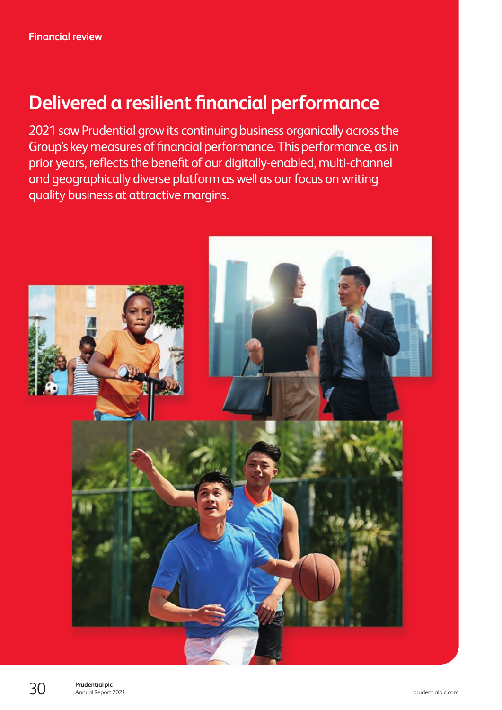# **Delivered a resilient financial performance**

2021 saw Prudential grow its continuing business organically across the Group's key measures of financial performance. This performance, as in prior years, reflects the benefit of our digitally-enabled, multi-channel and geographically diverse platform as well as our focus on writing quality business at attractive margins.

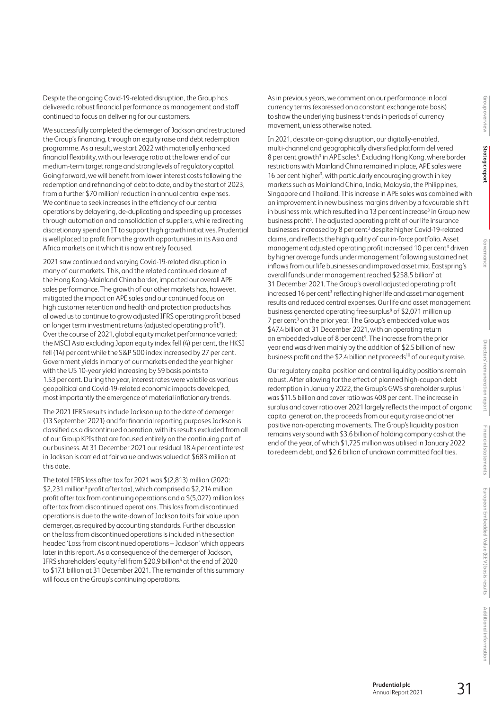Financial statements **Financial statements** European Embedded Value (EEV) basis results **European Embedded Value (EEV) basis results**

Despite the ongoing Covid-19-related disruption, the Group has delivered a robust financial performance as management and staff continued to focus on delivering for our customers.

We successfully completed the demerger of Jackson and restructured the Group's financing, through an equity raise and debt redemption programme. As a result, we start 2022 with materially enhanced financial flexibility, with our leverage ratio at the lower end of our medium-term target range and strong levels of regulatory capital. Going forward, we will benefit from lower interest costs following the redemption and refinancing of debt to date, and by the start of 2023, from a further \$70 million<sup>1</sup> reduction in annual central expenses. We continue to seek increases in the efficiency of our central operations by delayering, de-duplicating and speeding up processes through automation and consolidation of suppliers, while redirecting discretionary spend on IT to support high growth initiatives. Prudential is well placed to profit from the growth opportunities in its Asia and Africa markets on it which it is now entirely focused.

2021 saw continued and varying Covid-19-related disruption in many of our markets. This, and the related continued closure of the Hong Kong-Mainland China border, impacted our overall APE sales performance. The growth of our other markets has, however, mitigated the impact on APE sales and our continued focus on high customer retention and health and protection products has allowed usto continue to grow adjusted IFRS operating profit based on longer term investment returns (adjusted operating profit<sup>2</sup>). Over the course of 2021, global equity market performance varied; the MSCI Asia excluding Japan equity index fell (4) per cent, the HKSI fell (14) per cent while the S&P 500 index increased by 27 per cent. Government yields in many of our markets ended the year higher with the US 10-year yield increasing by 59 basis points to 1.53 per cent. During the year, interest rates were volatile as various geopolitical and Covid-19-related economic impacts developed, most importantly the emergence of material inflationary trends.

The 2021 IFRS results include Jackson up to the date of demerger (13 September 2021) and for financial reporting purposes Jackson is classified as a discontinued operation, with its results excluded from all of our Group KPIs that are focused entirely on the continuing part of our business. At 31 December 2021 our residual 18.4 per cent interest in Jackson is carried at fair value and was valued at \$683 million at this date.

The total IFRS loss after tax for 2021 was \$(2,813) million (2020: \$2,231 million<sup>3</sup> profit after tax), which comprised a \$2,214 million profit after tax from continuing operations and a \$(5,027) million loss after tax from discontinued operations. This loss from discontinued operations is due to the write-down of Jackson to its fair value upon demerger, as required by accounting standards. Further discussion on the loss from discontinued operations is included in the section headed 'Loss from discontinued operations – Jackson' which appears later in this report. As a consequence of the demerger of Jackson, IFRS shareholders' equity fell from \$20.9 billion<sup>4</sup> at the end of 2020 to \$17.1 billion at 31 December 2021. The remainder of this summary will focus on the Group's continuing operations.

As in previous years, we comment on our performance in local currency terms (expressed on a constant exchange rate basis) to show the underlying business trends in periods of currency movement, unless otherwise noted.

In 2021, despite on-going disruption, our digitally-enabled, multi-channel and geographically diversified platform delivered 8 per cent growth<sup>3</sup> in APE sales<sup>5</sup>. Excluding Hong Kong, where border restrictions with Mainland China remained in place, APE sales were 16 per cent higher<sup>3</sup>, with particularly encouraging growth in key markets such as Mainland China, India, Malaysia, the Philippines, Singapore and Thailand. This increase in APE sales was combined with an improvement in new business margins driven by a favourable shift in business mix, which resulted in a 13 per cent increase<sup>3</sup> in Group new business profit<sup>6</sup>. The adjusted operating profit of our life insurance businesses increased by 8 per cent<sup>3</sup> despite higher Covid-19-related claims, and reflects the high quality of our in-force portfolio. Asset management adjusted operating profit increased 10 per cent<sup>3</sup> driven by higher average funds under management following sustained net inflows from our life businesses and improved asset mix. Eastspring's overall funds under management reached \$258.5 billion<sup>7</sup> at 31 December 2021. The Group's overall adjusted operating profit increased 16 per cent<sup>3</sup> reflecting higher life and asset management results and reduced central expenses. Our life and asset management business generated operating free surplus<sup>8</sup> of \$2,071 million up 7 per cent<sup>3</sup> on the prior year. The Group's embedded value was \$47.4 billion at 31 December 2021, with an operating return on embedded value of 8 per cent<sup>9</sup>. The increase from the prior year end was driven mainly by the addition of \$2.5 billion of new business profit and the \$2.4 billion net proceeds<sup>10</sup> of our equity raise.

Our regulatory capital position and central liquidity positions remain robust. After allowing for the effect of planned high-coupon debt redemption in January 2022, the Group's GWS shareholder surplus<sup>11</sup> was \$11.5 billion and cover ratio was 408 per cent. The increase in surplus and cover ratio over 2021 largely reflects the impact of organic capital generation, the proceeds from our equity raise and other positive non-operating movements. The Group's liquidity position remains very sound with \$3.6 billion of holding company cash at the end of the year, of which \$1,725 million was utilised in January 2022 to redeem debt, and \$2.6 billion of undrawn committed facilities.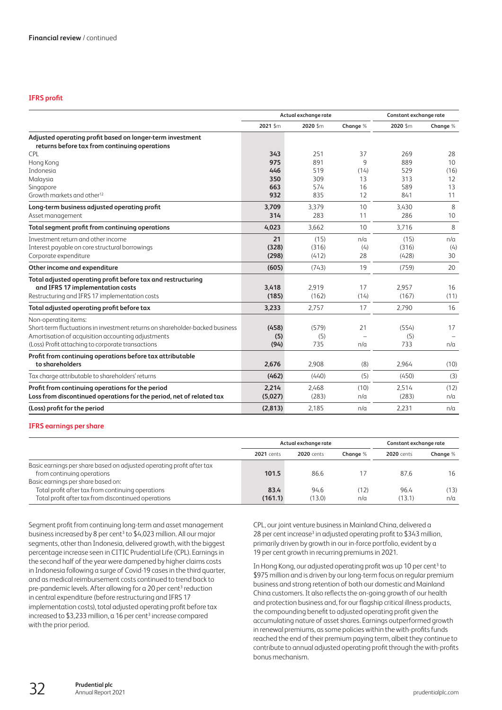# **IFRS profit**

|                                                                              |          | Actual exchange rate |          | Constant exchange rate |          |
|------------------------------------------------------------------------------|----------|----------------------|----------|------------------------|----------|
|                                                                              | 2021 \$m | 2020 \$m             | Change % | 2020 Sm                | Change % |
| Adjusted operating profit based on longer-term investment                    |          |                      |          |                        |          |
| returns before tax from continuing operations                                |          |                      |          |                        |          |
| <b>CPL</b>                                                                   | 343      | 251                  | 37       | 269                    | 28       |
| Hong Kong                                                                    | 975      | 891                  | 9        | 889                    | 10       |
| Indonesia                                                                    | 446      | 519                  | (14)     | 529                    | (16)     |
| Malaysia                                                                     | 350      | 309                  | 13       | 313                    | 12       |
| Singapore                                                                    | 663      | 574                  | 16       | 589                    | 13       |
| Growth markets and other <sup>12</sup>                                       | 932      | 835                  | 12       | 841                    | 11       |
| Long-term business adjusted operating profit                                 | 3,709    | 3.379                | 10       | 3,430                  | 8        |
| Asset management                                                             | 314      | 283                  | 11       | 286                    | 10       |
| Total segment profit from continuing operations                              | 4,023    | 3.662                | 10       | 3,716                  | 8        |
| Investment return and other income                                           | 21       | (15)                 | n/a      | (15)                   | n/a      |
| Interest payable on core structural borrowings                               | (328)    | (316)                | (4)      | (316)                  | (4)      |
| Corporate expenditure                                                        | (298)    | (412)                | 28       | (428)                  | 30       |
| Other income and expenditure                                                 | (605)    | (743)                | 19       | (759)                  | 20       |
| Total adjusted operating profit before tax and restructuring                 |          |                      |          |                        |          |
| and IFRS 17 implementation costs                                             | 3,418    | 2,919                | 17       | 2,957                  | 16       |
| Restructuring and IFRS 17 implementation costs                               | (185)    | (162)                | (14)     | (167)                  | (11)     |
| Total adjusted operating profit before tax                                   | 3,233    | 2.757                | 17       | 2.790                  | 16       |
| Non-operating items:                                                         |          |                      |          |                        |          |
| Short-term fluctuations in investment returns on shareholder-backed business | (458)    | (579)                | 21       | (554)                  | 17       |
| Amortisation of acquisition accounting adjustments                           | (5)      | (5)                  |          | (5)                    |          |
| (Loss) Profit attaching to corporate transactions                            | (94)     | 735                  | n/a      | 733                    | n/a      |
| Profit from continuing operations before tax attributable                    |          |                      |          |                        |          |
| to shareholders                                                              | 2,676    | 2,908                | (8)      | 2,964                  | (10)     |
| Tax charge attributable to shareholders' returns                             | (462)    | (440)                | (5)      | (450)                  | (3)      |
| Profit from continuing operations for the period                             | 2,214    | 2,468                | (10)     | 2,514                  | (12)     |
| Loss from discontinued operations for the period, net of related tax         | (5,027)  | (283)                | n/a      | (283)                  | n/a      |
| (Loss) profit for the period                                                 | (2,813)  | 2.185                | n/a      | 2.231                  | n/a      |

## **IFRS earnings per share**

|                                                                       |                   | Actual exchange rate | Constant exchange rate |                   |          |
|-----------------------------------------------------------------------|-------------------|----------------------|------------------------|-------------------|----------|
|                                                                       | <b>2021</b> cents | <b>2020</b> cents    | Change %               | <b>2020</b> cents | Change % |
| Basic earnings per share based on adjusted operating profit after tax |                   |                      |                        |                   |          |
| from continuing operations                                            | 101.5             | 86.6                 |                        | 87.6              | 16       |
| Basic earnings per share based on:                                    |                   |                      |                        |                   |          |
| Total profit after tax from continuing operations                     | 83.4              | 94.6                 | (12)                   | 96.4              | (13)     |
| Total profit after tax from discontinued operations                   | (161.1)           | (13.0)               | n/a                    | (13.1)            | n/a      |

Segment profit from continuing long-term and asset management business increased by 8 per cent<sup>3</sup> to \$4,023 million. All our major segments, other than Indonesia, delivered growth, with the biggest percentage increase seen in CITIC Prudential Life (CPL). Earnings in the second half of the year were dampened by higher claims costs in Indonesia following a surge of Covid-19 cases in the third quarter, and as medical reimbursement costs continued to trend back to pre-pandemic levels. After allowing for a 20 per cent<sup>3</sup> reduction in central expenditure (before restructuring and IFRS 17 implementation costs), total adjusted operating profit before tax increased to  $$3,233$  million, a 16 per cent<sup>3</sup> increase compared with the prior period.

CPL, our joint venture business in Mainland China, delivered a 28 per cent increase<sup>3</sup> in adjusted operating profit to \$343 million, primarily driven by growth in our in-force portfolio, evident by a 19 per cent growth in recurring premiums in 2021.

In Hong Kong, our adjusted operating profit was up 10 per cent<sup>3</sup> to \$975 million and is driven by our long-term focus on regular premium business and strong retention of both our domestic and Mainland China customers. It also reflects the on-going growth of our health and protection business and, for our flagship critical illness products, the compounding benefit to adjusted operating profit given the accumulating nature of asset shares. Earnings outperformed growth in renewal premiums, as some policies within the with-profits funds reached the end of their premium paying term, albeit they continue to contribute to annual adjusted operating profit through the with-profits bonus mechanism.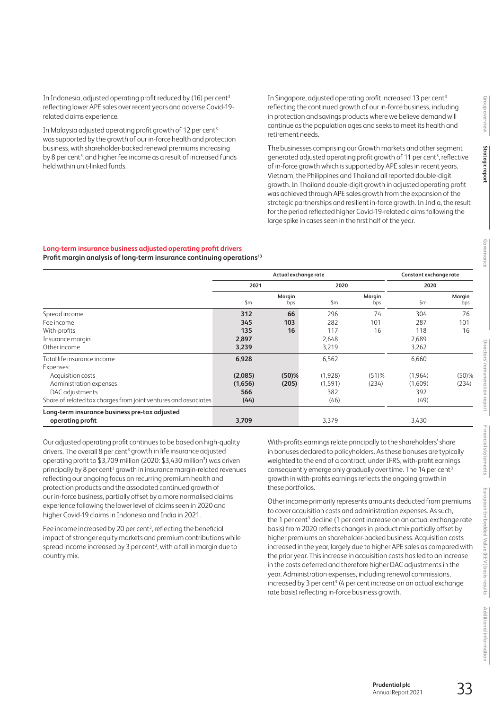In Indonesia, adjusted operating profit reduced by (16) per cent<sup>3</sup> reflecting lower APE sales over recent years and adverse Covid-19 related claims experience.

In Malaysia adjusted operating profit growth of 12 per cent<sup>3</sup> wassupported by the growth of our in-force health and protection business, with shareholder-backed renewal premiums increasing by 8 per cent<sup>3</sup>, and higher fee income as a result of increased funds held within unit-linked funds.

In Singapore, adjusted operating profit increased 13 per cent<sup>3</sup> reflecting the continued growth of our in-force business, including in protection and savings products where we believe demand will continue as the population ages and seeks to meet its health and retirement needs.

The businesses comprising our Growth markets and other segment generated adjusted operating profit growth of 11 per cent<sup>3</sup>, reflective of in-force growth which is supported by APE sales in recent years. Vietnam, the Philippines and Thailand all reported double-digit growth. In Thailand double-digit growth in adjusted operating profit was achieved through APE sales growth from the expansion of the strategic partnerships and resilient in-force growth. In India, the result for the period reflected higher Covid-19-related claims following the large spike in cases seen in the first half of the year.

#### **Long-term insurance business adjusted operating profit drivers**

**Profit margin analysis of long-term insurance continuing operations13**

|                                                                   | Actual exchange rate |               |               |               | Constant exchange rate |               |  |
|-------------------------------------------------------------------|----------------------|---------------|---------------|---------------|------------------------|---------------|--|
|                                                                   | 2021                 |               | 2020          |               | 2020                   |               |  |
|                                                                   | $\mathsf{S}$ m       | Margin<br>bps | $\mathsf{Sm}$ | Margin<br>bps | \$m                    | Margin<br>bps |  |
| Spread income                                                     | 312                  | 66            | 296           | 74            | 304                    | 76            |  |
| Fee income                                                        | 345                  | 103           | 282           | 101           | 287                    | 101           |  |
| With-profits                                                      | 135                  | 16            | 117           | 16            | 118                    | 16            |  |
| Insurance margin                                                  | 2,897                |               | 2,648         |               | 2,689                  |               |  |
| Other income                                                      | 3,239                |               | 3,219         |               | 3,262                  |               |  |
| Total life insurance income                                       | 6,928                |               | 6,562         |               | 6,660                  |               |  |
| Expenses:                                                         |                      |               |               |               |                        |               |  |
| Acquisition costs                                                 | (2,085)              | $(50)$ %      | (1,928)       | $(51)$ %      | (1,964)                | $(50)$ %      |  |
| Administration expenses                                           | (1,656)              | (205)         | (1,591)       | (234)         | (1,609)                | (234)         |  |
| DAC adjustments                                                   | 566                  |               | 382           |               | 392                    |               |  |
| Share of related tax charges from joint ventures and associates   | (44)                 |               | (46)          |               | (49)                   |               |  |
| Long-term insurance business pre-tax adjusted<br>operating profit | 3,709                |               | 3,379         |               | 3,430                  |               |  |

Our adjusted operating profit continues to be based on high-quality drivers. The overall 8 per cent<sup>3</sup> growth in life insurance adjusted operating profit to \$3,709 million (2020: \$3,430 million<sup>3</sup>) was driven principally by 8 per cent<sup>3</sup> growth in insurance margin-related revenues reflecting our ongoing focus on recurring premium health and protection products and the associated continued growth of our in-force business, partially offset by a more normalised claims experience following the lower level of claims seen in 2020 and higher Covid-19 claims in Indonesia and India in 2021.

Fee income increased by 20 per cent<sup>3</sup>, reflecting the beneficial impact of stronger equity markets and premium contributions while spread income increased by 3 per cent<sup>3</sup>, with a fall in margin due to country mix.

With-profits earnings relate principally to the shareholders' share in bonuses declared to policyholders. As these bonuses are typically weighted to the end of a contract, under IFRS, with-profit earnings consequently emerge only gradually over time. The 14 per cent<sup>3</sup> growth in with-profits earnings reflects the ongoing growth in these portfolios.

Other income primarily represents amounts deducted from premiums to cover acquisition costs and administration expenses. As such, the 1 per cent<sup>3</sup> decline (1 per cent increase on an actual exchange rate basis) from 2020 reflects changes in product mix partially offset by higher premiums on shareholder-backed business. Acquisition costs increased in the year, largely due to higher APE sales as compared with the prior year. This increase in acquisition costs has led to an increase in the costs deferred and therefore higher DAC adjustments in the year. Administration expenses, including renewal commissions,  $increased$  by 3 per cent<sup>3</sup> (4 per cent increase on an actual exchange rate basis) reflecting in-force business growth.

**Strategic report**

Strategic repor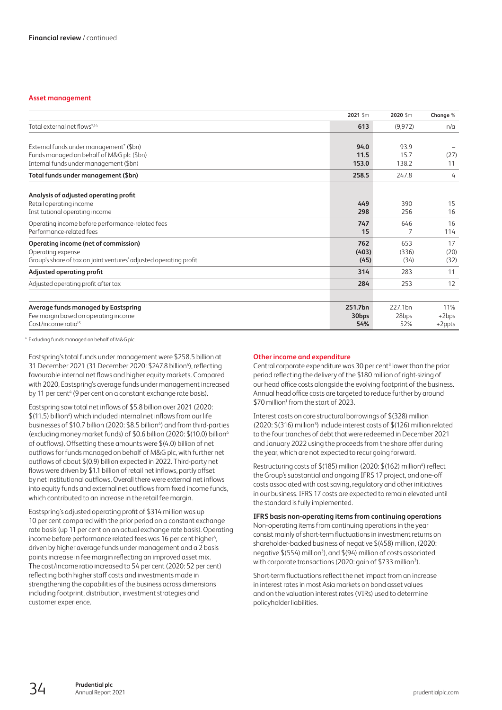## **Asset management**

|                                                                   | 2021 \$m          | 2020 \$m | Change %  |
|-------------------------------------------------------------------|-------------------|----------|-----------|
| Total external net flows*,14                                      | 613               | (9, 972) | n/a       |
|                                                                   |                   |          |           |
| External funds under management <sup>*</sup> (\$bn)               | 94.0              | 93.9     |           |
| Funds managed on behalf of M&G plc (\$bn)                         | 11.5              | 15.7     | (27)      |
| Internal funds under management (\$bn)                            | 153.0             | 138.2    | 11        |
| Total funds under management (\$bn)                               | 258.5             | 247.8    | 4         |
|                                                                   |                   |          |           |
| Analysis of adjusted operating profit<br>Retail operating income  | 449               | 390      | 15        |
| Institutional operating income                                    | 298               | 256      | 16        |
|                                                                   |                   |          |           |
| Operating income before performance-related fees                  | 747               | 646      | 16        |
| Performance-related fees                                          | 15                |          | 114       |
| <b>Operating income (net of commission)</b>                       | 762               | 653      | 17        |
| Operating expense                                                 | (403)             | (336)    | (20)      |
| Group's share of tax on joint ventures' adjusted operating profit | (45)              | (34)     | (32)      |
| Adjusted operating profit                                         | 314               | 283      | 11        |
| Adjusted operating profit after tax                               | 284               | 253      | 12        |
|                                                                   |                   |          |           |
| Average funds managed by Eastspring                               | 251.7bn           | 227.1bn  | 11%       |
| Fee margin based on operating income                              | 30 <sub>bps</sub> | 28bps    | $+2bps$   |
| Cost/income ratio <sup>15</sup>                                   | 54%               | 52%      | $+2$ ppts |

\* Excluding funds managed on behalf of M&G plc.

Eastspring's total funds under management were \$258.5 billion at 31 December 2021 (31 December 2020: \$247.8 billion<sup>4</sup>), reflecting favourable internal net flows and higher equity markets. Compared with 2020, Eastspring's average funds under management increased by 11 per cent<sup>4</sup> (9 per cent on a constant exchange rate basis).

Eastspring saw total net inflows of \$5.8 billion over 2021 (2020:  $$$ (11.5) billion<sup>4</sup>) which included internal net inflows from our life businesses of \$10.7 billion (2020: \$8.5 billion<sup>4</sup>) and from third-parties (excluding money market funds) of \$0.6 billion (2020: \$(10.0) billion4 of outflows). Offsetting these amounts were \$(4.0) billion of net outflows for funds managed on behalf of M&G plc, with further net outflows of about \$(0.9) billion expected in 2022. Third-party net flows were driven by \$1.1 billion of retail net inflows, partly offset by net institutional outflows. Overall there were external net inflows into equity funds and external net outflows from fixed income funds, which contributed to an increase in the retail fee margin.

Eastspring's adjusted operating profit of \$314 million was up 10 per cent compared with the prior period on a constant exchange rate basis (up 11 per cent on an actual exchange rate basis). Operating income before performance related fees was 16 per cent higher<sup>4</sup>, driven by higher average funds under management and a 2 basis points increase in fee margin reflecting an improved asset mix. The cost/income ratio increased to 54 per cent (2020: 52 per cent) reflecting both higher staff costs and investments made in strengthening the capabilities of the business across dimensions including footprint, distribution, investment strategies and customer experience.

#### **Other income and expenditure**

Central corporate expenditure was 30 per cent<sup>3</sup> lower than the prior period reflecting the delivery of the \$180 million of right-sizing of our head office costs alongside the evolving footprint of the business. Annual head office costs are targeted to reduce further by around \$70 million<sup>1</sup> from the start of 2023.

Interest costs on core structural borrowings of \$(328) million (2020: \$(316) million<sup>3</sup>) include interest costs of \$(126) million related to the four tranches of debt that were redeemed in December 2021 and January 2022 using the proceeds from the share offer during the year, which are not expected to recur going forward.

Restructuring costs of \$(185) million (2020: \$(162) million<sup>4</sup>) reflect the Group's substantial and ongoing IFRS 17 project, and one-off costs associated with cost saving, regulatory and other initiatives in our business. IFRS 17 costs are expected to remain elevated until the standard is fully implemented.

**IFRS basis non-operating items from continuing operations** Non-operating items from continuing operations in the year consist mainly of short-term fluctuations in investment returns on shareholder-backed business of negative \$(458) million, (2020: negative \$(554) million<sup>3</sup>), and \$(94) million of costs associated with corporate transactions (2020: gain of \$733 million<sup>3</sup>).

Short-term fluctuations reflect the net impact from an increase in interest rates in most Asia markets on bond asset values and on the valuation interest rates (VIRs) used to determine policyholder liabilities.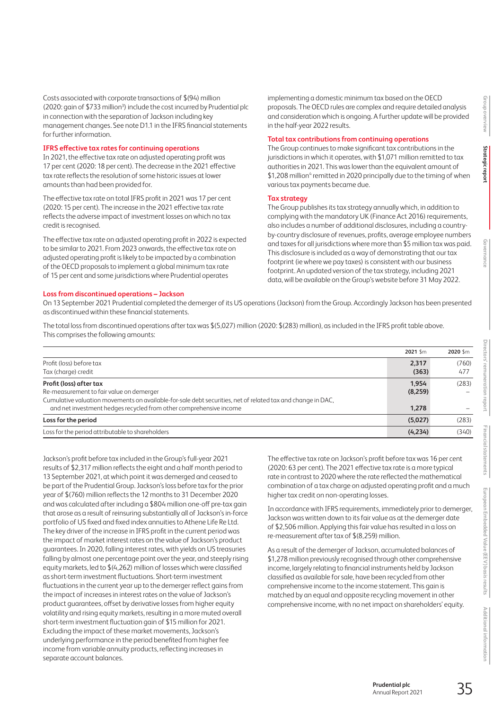Costs associated with corporate transactions of \$(94) million (2020: gain of \$733 million<sup>3</sup>) include the cost incurred by Prudential plc in connection with the separation of Jackson including key management changes. See note D1.1 in the IFRS financial statements for further information.

#### **IFRS effective tax rates for continuing operations**

In 2021, the effective tax rate on adjusted operating profit was 17 per cent (2020: 18 per cent). The decrease in the 2021 effective tax rate reflects the resolution of some historic issues at lower amounts than had been provided for.

The effective tax rate on total IFRS profit in 2021 was 17 per cent (2020: 15 per cent). The increase in the 2021 effective tax rate reflects the adverse impact of investment losses on which no tax credit is recognised.

The effective tax rate on adjusted operating profit in 2022 is expected to be similar to 2021. From 2023 onwards, the effective tax rate on adjusted operating profit is likely to be impacted by a combination of the OECD proposals to implement a global minimum tax rate of 15 per cent and some jurisdictions where Prudential operates

implementing a domestic minimum tax based on the OECD proposals. The OECD rules are complex and require detailed analysis and consideration which is ongoing. A further update will be provided in the half-year 2022 results.

## **Total tax contributions from continuing operations**

The Group continues to make significant tax contributions in the jurisdictions in which it operates, with \$1,071 million remitted to tax authorities in 2021. This was lower than the equivalent amount of \$1,208 million<sup>4</sup> remitted in 2020 principally due to the timing of when various tax payments became due.

## **Tax strategy**

The Group publishes its tax strategy annually which, in addition to complying with the mandatory UK (Finance Act 2016) requirements, also includes a number of additional disclosures, including a countryby-country disclosure of revenues, profits, average employee numbers and taxes for all jurisdictions where more than \$5 million tax was paid. This disclosure is included as a way of demonstrating that our tax footprint (ie where we pay taxes) is consistent with our business footprint. An updated version of the tax strategy, including 2021 data, will be available on the Group's website before 31 May 2022.

## **Loss from discontinued operations – Jackson**

On 13 September 2021 Prudential completed the demerger of its US operations (Jackson) from the Group. Accordingly Jackson has been presented as discontinued within these financial statements.

The total loss from discontinued operations after tax was \$(5,027) million (2020: \$(283) million), as included in the IFRS profit table above. This comprises the following amounts:

|                                                                                                             | 2021 Sm        | 2020 Sm      |
|-------------------------------------------------------------------------------------------------------------|----------------|--------------|
| Profit (loss) before tax<br>Tax (charge) credit                                                             | 2,317<br>(363) | (760)<br>477 |
|                                                                                                             |                |              |
| Profit (loss) after tax                                                                                     | 1.954          | (283)        |
| Re-measurement to fair value on demerger                                                                    | (8,259)        |              |
| Cumulative valuation movements on available-for-sale debt securities, net of related tax and change in DAC, |                |              |
| and net investment hedges recycled from other comprehensive income                                          | 1.278          |              |
| Loss for the period                                                                                         | (5,027)        | (283)        |
| Loss for the period attributable to shareholders                                                            | (4,234)        | (340)        |

Jackson's profit before tax included in the Group's full-year 2021 results of \$2,317 million reflects the eight and a half month period to 13 September 2021, at which point it was demerged and ceased to be part of the Prudential Group. Jackson's loss before tax for the prior year of \$(760) million reflects the 12 months to 31 December 2020 and was calculated after including a \$804 million one-off pre-tax gain that arose as a result of reinsuring substantially all of Jackson's in-force portfolio of US fixed and fixed index annuities to Athene Life Re Ltd. The key driver of the increase in IFRS profit in the current period was the impact of market interest rates on the value of Jackson's product guarantees. In 2020, falling interest rates, with yields on US treasuries falling by almost one percentage point over the year, and steeply rising equity markets, led to \$(4,262) million of losses which were classified as short-term investment fluctuations. Short-term investment fluctuations in the current year up to the demerger reflect gains from the impact of increases in interest rates on the value of Jackson's product guarantees, offset by derivative losses from higher equity volatility and rising equity markets, resulting in a more muted overall short-term investment fluctuation gain of \$15 million for 2021. Excluding the impact of these market movements, Jackson's underlying performance in the period benefited from higher fee income from variable annuity products, reflecting increases in separate account balances.

The effective tax rate on Jackson's profit before tax was 16 per cent (2020: 63 per cent). The 2021 effective tax rate is a more typical rate in contrast to 2020 where the rate reflected the mathematical combination of a tax charge on adjusted operating profit and a much higher tax credit on non-operating losses.

In accordance with IFRS requirements, immediately prior to demerger, Jackson was written down to its fair value as at the demerger date of \$2,506 million. Applying this fair value has resulted in a loss on re-measurement after tax of \$(8,259) million.

As a result of the demerger of Jackson, accumulated balances of \$1,278 million previously recognised through other comprehensive income, largely relating to financial instruments held by Jackson classified as available for sale, have been recycled from other comprehensive income to the income statement. This gain is matched by an equal and opposite recycling movement in other comprehensive income, with no net impact on shareholders' equity.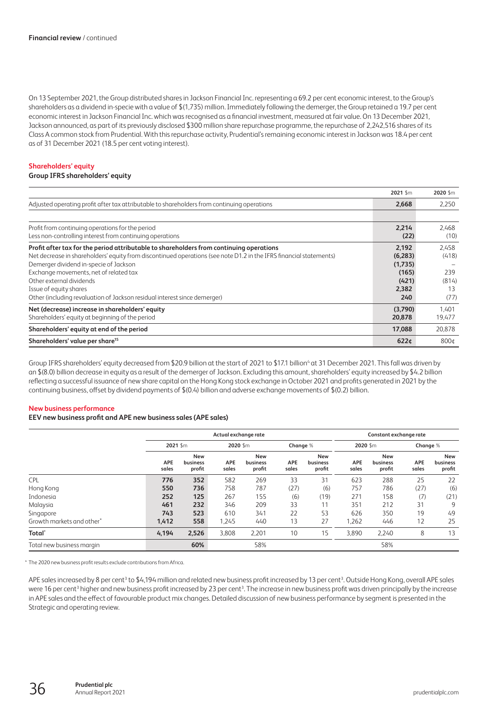On 13 September 2021, the Group distributed shares in Jackson Financial Inc. representing a 69.2 per cent economic interest, to the Group's shareholders as a dividend in-specie with a value of \$(1,735) million. Immediately following the demerger, the Group retained a 19.7 per cent economic interest in Jackson Financial Inc. which was recognised as a financial investment, measured at fair value. On 13 December 2021, Jackson announced, as part of its previously disclosed \$300 million share repurchase programme, the repurchase of 2,242,516 shares of its Class A common stock from Prudential. With this repurchase activity, Prudential's remaining economic interest in Jackson was 18.4 per cent as of 31 December 2021 (18.5 per cent voting interest).

## **Shareholders' equity**

#### **Group IFRS shareholders' equity**

|                                                                                                                    | 2021 Sm          | 2020 \$m |
|--------------------------------------------------------------------------------------------------------------------|------------------|----------|
| Adjusted operating profit after tax attributable to shareholders from continuing operations                        | 2,668            | 2,250    |
|                                                                                                                    |                  |          |
| Profit from continuing operations for the period                                                                   | 2,214            | 2,468    |
| Less non-controlling interest from continuing operations                                                           | (22)             | (10)     |
| Profit after tax for the period attributable to shareholders from continuing operations                            | 2,192            | 2,458    |
| Net decrease in shareholders' equity from discontinued operations (see note D1.2 in the IFRS financial statements) | (6,283)          | (418)    |
| Demerger dividend in-specie of Jackson                                                                             | (1,735)          |          |
| Exchange movements, net of related tax                                                                             | (165)            | 239      |
| Other external dividends                                                                                           | (421)            | (814)    |
| Issue of equity shares                                                                                             | 2,382            | 13       |
| Other (including revaluation of Jackson residual interest since demerger)                                          | 240              | (77)     |
| Net (decrease) increase in shareholders' equity                                                                    | (3,790)          | 1,401    |
| Shareholders' equity at beginning of the period                                                                    | 20,878           | 19,477   |
| Shareholders' equity at end of the period                                                                          | 17,088           | 20,878   |
| Shareholders' value per share <sup>15</sup>                                                                        | 622 <sub>¢</sub> | 800⊄     |

Group IFRS shareholders' equity decreased from \$20.9 billion at the start of 2021 to \$17.1 billion<sup>4</sup> at 31 December 2021. This fall was driven by an \$(8.0) billion decrease in equity as a result of the demerger of Jackson. Excluding this amount, shareholders' equity increased by \$4.2 billion reflecting a successful issuance of new share capital on the Hong Kong stock exchange in October 2021 and profits generated in 2021 by the continuing business, offset by dividend payments of \$(0.4) billion and adverse exchange movements of \$(0.2) billion.

#### **New business performance**

#### **EEV new business profit and APE new business sales (APE sales)**

|                           | Actual exchange rate |                                  |                     |                                  |                     | Constant exchange rate           |                     |                                  |                     |                                  |
|---------------------------|----------------------|----------------------------------|---------------------|----------------------------------|---------------------|----------------------------------|---------------------|----------------------------------|---------------------|----------------------------------|
|                           | 2021 Sm              |                                  | 2020 Sm             |                                  | Change %            |                                  | 2020 Sm             |                                  | Change %            |                                  |
|                           | <b>APE</b><br>sales  | <b>New</b><br>business<br>profit | <b>APE</b><br>sales | <b>New</b><br>business<br>profit | <b>APE</b><br>sales | <b>New</b><br>business<br>profit | <b>APE</b><br>sales | <b>New</b><br>business<br>profit | <b>APE</b><br>sales | <b>New</b><br>business<br>profit |
| <b>CPL</b>                | 776                  | 352                              | 582                 | 269                              | 33                  | 31                               | 623                 | 288                              | 25                  | 22                               |
| Hong Kong                 | 550                  | 736                              | 758                 | 787                              | (27)                | (6)                              | 757                 | 786                              | (27)                | (6)                              |
| Indonesia                 | 252                  | 125                              | 267                 | 155                              | (6)                 | (19)                             | 271                 | 158                              | (7)                 | (21)                             |
| Malaysia                  | 461                  | 232                              | 346                 | 209                              | 33                  | 11                               | 351                 | 212                              | 31                  | 9                                |
| Singapore                 | 743                  | 523                              | 610                 | 341                              | 22                  | 53                               | 626                 | 350                              | 19                  | 49                               |
| Growth markets and other* | 1,412                | 558                              | 1,245               | 440                              | 13                  | 27                               | .262                | 446                              | 12                  | 25                               |
| Total <sup>*</sup>        | 4,194                | 2,526                            | 3,808               | 2,201                            | 10                  | 15                               | 3,890               | 2,240                            | 8                   | 13                               |
| Total new business margin |                      | 60%                              |                     | 58%                              |                     |                                  |                     | 58%                              |                     |                                  |

\* The 2020 new business profit results exclude contributions from Africa.

APE sales increased by 8 per cent<sup>3</sup> to \$4,194 million and related new business profit increased by 13 per cent<sup>3</sup>. Outside Hong Kong, overall APE sales were 16 per cent<sup>3</sup> higher and new business profit increased by 23 per cent<sup>3</sup>. The increase in new business profit was driven principally by the increase in APE sales and the effect of favourable product mix changes. Detailed discussion of new business performance by segment is presented in the Strategic and operating review.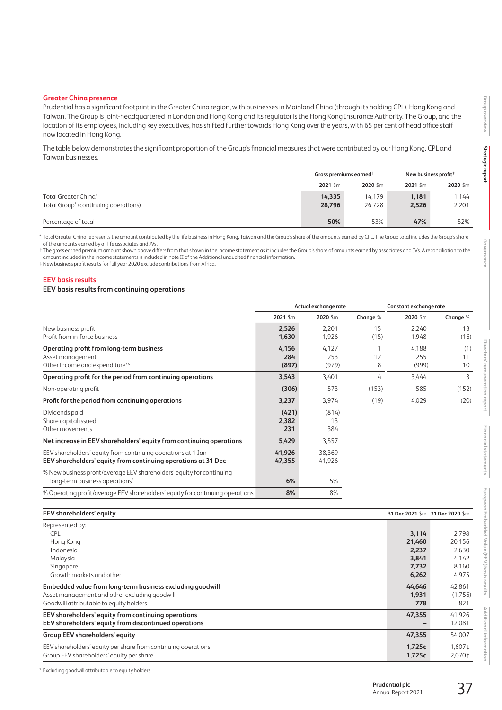## **Greater China presence**

Prudential has a significant footprint in the Greater China region, with businesses in Mainland China (through its holding CPL), Hong Kong and Taiwan. The Group is joint-headquartered in London and Hong Kong and its regulator is the Hong Kong Insurance Authority. The Group, and the location of its employees, including key executives, has shifted further towards Hong Kong over the years, with 65 per cent of head office staff now located in Hong Kong.

The table below demonstrates the significant proportion of the Group's financial measures that were contributed by our Hong Kong, CPL and Taiwan businesses.

|                                                                          | Gross premiums earned <sup>+</sup> |                  | New business profit $†$ |                |
|--------------------------------------------------------------------------|------------------------------------|------------------|-------------------------|----------------|
|                                                                          | $2021$ \$m                         | 2020 Sm          | 2021 Sm                 | 2020 \$m       |
| Total Greater China*<br>Total Group <sup>*</sup> (continuing operations) | 14,335<br>28,796                   | 14.179<br>26.728 | 1,181<br>2,526          | 1,144<br>2,201 |
| Percentage of total                                                      | 50%                                | 53%              | 47%                     | 52%            |

\* Total Greater China represents the amount contributed by the life business in Hong Kong, Taiwan and the Group's share of the amounts earned by CPL. The Group total includes the Group's share of the amounts earned by all life associates and JVs.

† The gross earned premium amount shown above differs from that shown in the income statement as it includes the Group's share of amounts earned by associates and JVs. A reconciliation to the amount included in the income statements is included in note II of the Additional unaudited financial information.

‡New business profit results for full year 2020 exclude contributions from Africa.

#### **EEV basis results**

## **EEV basis results from continuing operations**

|                                                                                                                               | Actual exchange rate  |                       |            | Constant exchange rate |                 |  |
|-------------------------------------------------------------------------------------------------------------------------------|-----------------------|-----------------------|------------|------------------------|-----------------|--|
|                                                                                                                               | 2021 Sm               | 2020 Sm               | Change %   | 2020 \$m               | Change %        |  |
| New business profit<br>Profit from in-force business                                                                          | 2,526<br>1,630        | 2,201<br>1,926        | 15<br>(15) | 2,240<br>1,948         | 13<br>(16)      |  |
| <b>Operating profit from long-term business</b><br>Asset management<br>Other income and expenditure <sup>16</sup>             | 4,156<br>284<br>(897) | 4,127<br>253<br>(979) | 12<br>8    | 4.188<br>255<br>(999)  | (1)<br>11<br>10 |  |
| Operating profit for the period from continuing operations                                                                    | 3,543                 | 3,401                 | 4          | 3,444                  | 3               |  |
| Non-operating profit                                                                                                          | (306)                 | 573                   | (153)      | 585                    | (152)           |  |
| Profit for the period from continuing operations                                                                              | 3,237                 | 3,974                 | (19)       | 4,029                  | (20)            |  |
| Dividends paid<br>Share capital issued<br>Other movements                                                                     | (421)<br>2,382<br>231 | (814)<br>13<br>384    |            |                        |                 |  |
| Net increase in EEV shareholders' equity from continuing operations                                                           | 5,429                 | 3,557                 |            |                        |                 |  |
| EEV shareholders' equity from continuing operations at 1 Jan<br>EEV shareholders' equity from continuing operations at 31 Dec | 41,926<br>47,355      | 38,369<br>41,926      |            |                        |                 |  |
| % New business profit/average EEV shareholders' equity for continuing<br>long-term business operations*                       | 6%                    | 5%                    |            |                        |                 |  |
| % Operating profit/average EEV shareholders' equity for continuing operations                                                 | 8%                    | 8%                    |            |                        |                 |  |

| <b>EEV</b> shareholders' equity                               |                    | 31 Dec 2021 \$m 31 Dec 2020 \$m |
|---------------------------------------------------------------|--------------------|---------------------------------|
| Represented by:                                               |                    |                                 |
| <b>CPL</b>                                                    | 3.114              | 2.798                           |
| Hong Kong                                                     | 21,460             | 20,156                          |
| <i>Indonesia</i>                                              | 2,237              | 2,630                           |
| Malaysia                                                      | 3,841              | 4,142                           |
| Singapore                                                     | 7,732              | 8,160                           |
| Growth markets and other                                      | 6,262              | 4,975                           |
| Embedded value from long-term business excluding goodwill     | 44.646             | 42.861                          |
| Asset management and other excluding goodwill                 | 1,931              | (1,756)                         |
| Goodwill attributable to equity holders                       | 778                | 821                             |
| EEV shareholders' equity from continuing operations           | 47,355             | 41,926                          |
| EEV shareholders' equity from discontinued operations         |                    | 12,081                          |
| <b>Group EEV shareholders' equity</b>                         | 47,355             | 54,007                          |
| EEV shareholders' equity per share from continuing operations | 1,725¢             | 1,607¢                          |
| Group EEV shareholders' equity per share                      | 1.725 <sub>0</sub> | 2.070 <sub>0</sub>              |

\* Excluding goodwill attributable to equity holders.

**Additional information**

Additional information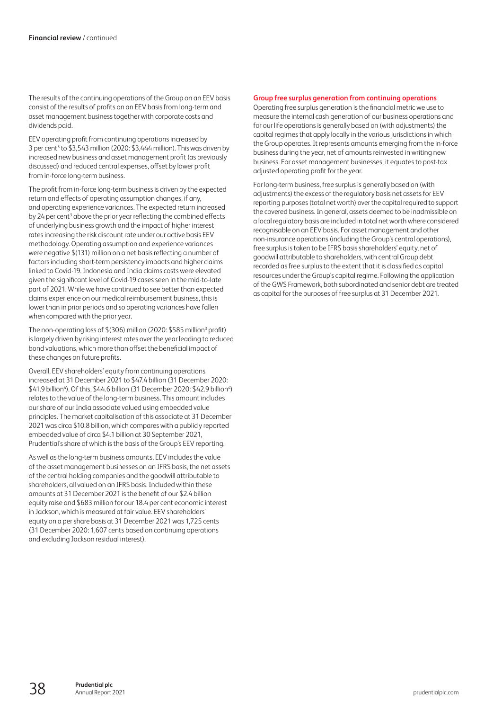The results of the continuing operations of the Group on an EEV basis consist of the results of profits on an EEV basis from long-term and asset management business together with corporate costs and dividends paid.

EEV operating profit from continuing operations increased by 3 per cent<sup>3</sup> to \$3,543 million (2020: \$3,444 million). This was driven by increased new business and asset management profit (as previously discussed) and reduced central expenses, offset by lower profit from in-force long-term business.

The profit from in-force long-term business is driven by the expected return and effects of operating assumption changes, if any, and operating experience variances. The expected return increased by 24 per cent<sup>3</sup> above the prior year reflecting the combined effects of underlying business growth and the impact of higher interest ratesincreasing the risk discount rate under our active basis EEV methodology. Operating assumption and experience variances were negative \$(131) million on a net basis reflecting a number of factors including short-term persistency impacts and higher claims linked to Covid-19. Indonesia and India claims costs were elevated given the significant level of Covid-19 cases seen in the mid-to-late part of 2021. While we have continued to see better than expected claims experience on our medical reimbursement business, this is lower than in prior periods and so operating variances have fallen when compared with the prior year.

The non-operating loss of  $$(306)$  million (2020:  $$585$  million<sup>3</sup> profit) islargely driven by rising interest rates over the year leading to reduced bond valuations, which more than offset the beneficial impact of these changes on future profits.

Overall, EEV shareholders' equity from continuing operations increased at 31 December 2021 to \$47.4 billion (31 December 2020: \$41.9 billion<sup>4</sup>). Of this, \$44.6 billion (31 December 2020: \$42.9 billion<sup>4</sup>) relates to the value of the long-term business. This amount includes our share of our India associate valued using embedded value principles. The market capitalisation of this associate at 31 December 2021 was circa \$10.8 billion, which compares with a publicly reported embedded value of circa \$4.1 billion at 30 September 2021, Prudential's share of which is the basis of the Group's EEV reporting.

As well as the long-term business amounts, EEV includes the value of the asset management businesses on an IFRS basis, the net assets of the central holding companies and the goodwill attributable to shareholders, all valued on an IFRS basis. Included within these amounts at 31 December 2021 is the benefit of our \$2.4 billion equity raise and \$683 million for our 18.4 per cent economic interest in Jackson, which is measured at fair value. EEV shareholders' equity on a per share basis at 31 December 2021 was 1,725 cents (31 December 2020: 1,607 cents based on continuing operations and excluding Jackson residual interest).

## **Group free surplus generation from continuing operations**

Operating free surplus generation is the financial metric we use to measure the internal cash generation of our business operations and for our life operations is generally based on (with adjustments) the capital regimes that apply locally in the various jurisdictions in which the Group operates. It represents amounts emerging from the in-force business during the year, net of amounts reinvested in writing new business. For asset management businesses, it equates to post-tax adjusted operating profit for the year.

For long-term business, free surplus is generally based on (with adjustments) the excess of the regulatory basis net assets for EEV reporting purposes (total net worth) over the capital required to support the covered business. In general, assets deemed to be inadmissible on a local regulatory basis are included in total net worthwhere considered recognisable on an EEV basis. For asset management and other non-insurance operations (including the Group's central operations), free surplus is taken to be IFRS basis shareholders' equity, net of goodwill attributable to shareholders, with central Group debt recorded as free surplus to the extent that it is classified as capital resources under the Group's capital regime. Following the application of the GWS Framework, both subordinated and senior debt are treated as capital for the purposes of free surplus at 31 December 2021.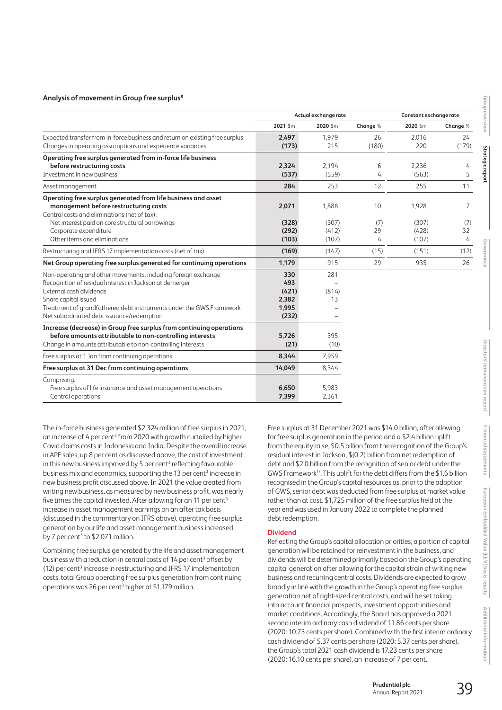## **Analysis of movement in Group free surplus8**

|                                                                              |          | Actual exchange rate |          | Constant exchange rate |          |  |
|------------------------------------------------------------------------------|----------|----------------------|----------|------------------------|----------|--|
|                                                                              | 2021 \$m | 2020 Sm              | Change % | 2020 \$m               | Change % |  |
| Expected transfer from in-force business and return on existing free surplus | 2,497    | 1.979                | 26       | 2.016                  | 24       |  |
| Changes in operating assumptions and experience variances                    | (173)    | 215                  | (180)    | 220                    | (179)    |  |
| Operating free surplus generated from in-force life business                 |          |                      |          |                        |          |  |
| before restructuring costs                                                   | 2,324    | 2,194                | 6        | 2,236                  | 4        |  |
| Investment in new business                                                   | (537)    | (559)                | 4        | (563)                  | 5        |  |
| Asset management                                                             | 284      | 253                  | 12       | 255                    | 11       |  |
| Operating free surplus generated from life business and asset                |          |                      |          |                        |          |  |
| management before restructuring costs                                        | 2,071    | 1,888                | 10       | 1,928                  | 7        |  |
| Central costs and eliminations (net of tax):                                 |          |                      |          |                        |          |  |
| Net interest paid on core structural borrowings                              | (328)    | (307)                | (7)      | (307)                  | (7)      |  |
| Corporate expenditure                                                        | (292)    | (412)                | 29       | (428)                  | 32       |  |
| Other items and eliminations                                                 | (103)    | (107)                | 4        | (107)                  | 4        |  |
| Restructuring and IFRS 17 implementation costs (net of tax)                  | (169)    | (147)                | (15)     | (151)                  | (12)     |  |
| Net Group operating free surplus generated for continuing operations         | 1,179    | 915                  | 29       | 935                    | 26       |  |
| Non-operating and other movements, including foreign exchange                | 330      | 281                  |          |                        |          |  |
| Recognition of residual interest in Jackson at demerger                      | 493      |                      |          |                        |          |  |
| External cash dividends                                                      | (421)    | (814)                |          |                        |          |  |
| Share capital issued                                                         | 2,382    | 13                   |          |                        |          |  |
| Treatment of grandfathered debt instruments under the GWS Framework          | 1,995    |                      |          |                        |          |  |
| Net subordinated debt issuance/redemption                                    | (232)    |                      |          |                        |          |  |
| Increase (decrease) in Group free surplus from continuing operations         |          |                      |          |                        |          |  |
| before amounts attributable to non-controlling interests                     | 5,726    | 395                  |          |                        |          |  |
| Change in amounts attributable to non-controlling interests                  | (21)     | (10)                 |          |                        |          |  |
| Free surplus at 1 Jan from continuing operations                             | 8,344    | 7,959                |          |                        |          |  |
| Free surplus at 31 Dec from continuing operations                            | 14.049   | 8,344                |          |                        |          |  |
| Comprising:                                                                  |          |                      |          |                        |          |  |
| Free surplus of life insurance and asset management operations               | 6,650    | 5,983                |          |                        |          |  |
| Central operations                                                           | 7,399    | 2,361                |          |                        |          |  |

The in-force business generated \$2,324 million of free surplus in 2021, an increase of 4 per cent<sup>3</sup> from 2020 with growth curtailed by higher Covid claims costs in Indonesia and India. Despite the overall increase in APE sales, up 8 per cent as discussed above, the cost of investment in this new business improved by 5 per cent<sup>3</sup> reflecting favourable business mix and economics, supporting the 13 per cent<sup>3</sup> increase in new business profit discussed above. In 2021 the value created from writing new business, as measured by new business profit, was nearly five times the capital invested. After allowing for an 11 per cent<sup>3</sup> increase in asset management earnings on an after tax basis (discussed in the commentary on IFRS above), operating free surplus generation by our life and asset management business increased by 7 per cent<sup>3</sup> to  $$2,071$  million.

Combining free surplus generated by the life and asset management business with a reduction in central costs of 14 per cent<sup>3</sup> offset by (12) per cent<sup>3</sup> increase in restructuring and IFRS 17 implementation costs, total Group operating free surplus generation from continuing operations was 26 per cent<sup>3</sup> higher at \$1,179 million.

Free surplus at 31 December 2021 was \$14.0 billion, after allowing forfree surplus generation in the period and a \$2.4 billion uplift from the equity raise, \$0.5 billion from the recognition of the Group's residual interest in Jackson, \$(0.2) billion from net redemption of debt and \$2.0 billion from the recognition of senior debt under the GWS Framework<sup>17</sup>. This uplift for the debt differs from the \$1.6 billion recognised in the Group's capital resources as, prior to the adoption of GWS, senior debt was deducted from free surplus at market value rather than at cost. \$1,725 million of the free surplus held at the year end was used in January 2022 to complete the planned debt redemption.

# **Dividend**

Reflecting the Group's capital allocation priorities, a portion of capital generation will be retained for reinvestment in the business, and dividends will be determined primarily based on the Group's operating capital generation after allowing for the capital strain of writing new business and recurring central costs. Dividends are expected to grow broadly in line with the growth in the Group's operating free surplus generation net of right-sized central costs, and will be set taking into account financial prospects, investment opportunities and market conditions. Accordingly, the Board has approved a 2021 second interim ordinary cash dividend of 11.86 cents per share (2020: 10.73 cents per share). Combined with the first interim ordinary cash dividend of 5.37 cents per share (2020: 5.37 cents per share), the Group's total 2021 cash dividend is 17.23 cents per share (2020: 16.10 cents per share), an increase of 7 per cent.

**Prudential plc** 

**Group overview**

Group overview

**Strategic report**

Strategic repo

**Governance**

**Directors' remuneration report**

Directors' remuneration report

**Financial statements**

Financial statements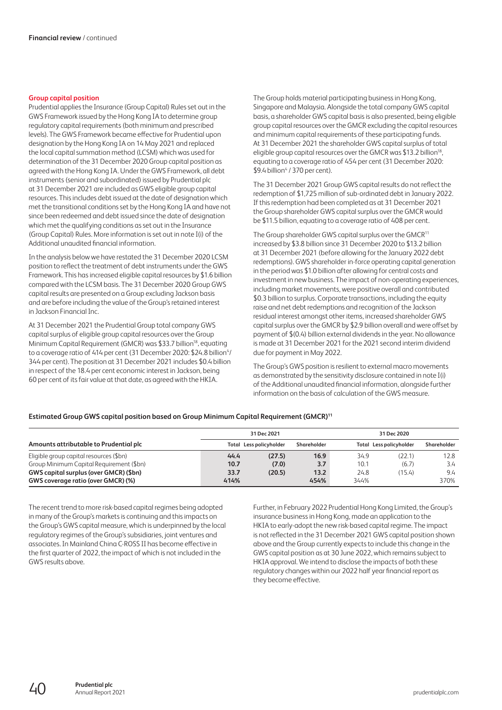## **Group capital position**

Prudential applies the Insurance (Group Capital) Rules set out in the GWS Framework issued by the Hong Kong IA to determine group regulatory capital requirements (both minimum and prescribed levels). The GWS Framework became effective for Prudential upon designation by the Hong Kong IA on 14 May 2021 and replaced the local capital summation method (LCSM) which was used for determination of the 31 December 2020 Group capital position as agreed with the Hong Kong IA. Under the GWS Framework, all debt instruments (senior and subordinated) issued by Prudential plc at 31 December 2021 are included as GWS eligible group capital resources. This includes debt issued at the date of designation which met the transitional conditions set by the Hong Kong IA and have not since been redeemed and debt issued since the date of designation which met the qualifying conditions as set out in the Insurance (Group Capital) Rules. More information is set out in note I(i) of the Additional unaudited financial information.

In the analysis below we have restated the 31 December 2020 LCSM position to reflect the treatment of debt instruments under the GWS Framework. This has increased eligible capital resources by \$1.6 billion compared with the LCSM basis. The 31 December 2020 Group GWS capital results are presented on a Group excluding Jackson basis and are before including the value of the Group's retained interest in Jackson Financial Inc.

At 31 December 2021 the Prudential Group total company GWS capital surplus of eligible group capital resources over the Group Minimum Capital Requirement (GMCR) was \$33.7 billion18, equating to a coverage ratio of 414 per cent (31 December 2020: \$24.8 billion<sup>4</sup>/ 344 per cent). The position at 31 December 2021 includes \$0.4 billion in respect of the 18.4 per cent economic interest in Jackson, being 60 per cent of its fair value at that date, as agreed with the HKIA.

The Group holds material participating business in Hong Kong, Singapore and Malaysia. Alongside the total company GWS capital basis, a shareholder GWS capital basis is also presented, being eligible group capital resources over the GMCR excluding the capital resources and minimum capital requirements of these participating funds. At 31 December 2021 the shareholder GWS capital surplus of total eligible group capital resources over the GMCR was \$13.2 billion<sup>18</sup>, equating to a coverage ratio of 454 per cent (31 December 2020: \$9.4 billion<sup>4</sup> / 370 per cent).

The 31 December 2021 Group GWS capital results do not reflect the redemption of \$1,725 million of sub-ordinated debt in January 2022. If this redemption had been completed as at 31 December 2021 the Group shareholder GWS capital surplus over the GMCR would be \$11.5 billion, equating to a coverage ratio of 408 per cent.

The Group shareholder GWS capital surplus over the GMCR<sup>11</sup> increased by \$3.8 billion since 31 December 2020 to \$13.2 billion at 31 December 2021 (before allowing for the January 2022 debt redemptions). GWS shareholder in-force operating capital generation in the period was \$1.0 billion after allowing for central costs and investment in new business. The impact of non-operating experiences, including market movements, were positive overall and contributed \$0.3 billion to surplus. Corporate transactions, including the equity raise and net debt redemptions and recognition of the Jackson residual interest amongst other items, increased shareholder GWS capital surplus over the GMCR by \$2.9 billion overall and were offset by payment of \$(0.4) billion external dividends in the year. No allowance is made at 31 December 2021 for the 2021 second interim dividend due for payment in May 2022.

The Group's GWS position is resilient to external macro movements as demonstrated by the sensitivity disclosure contained in note I(i) ofthe Additional unaudited financial information, alongside further information on the basis of calculation of the GWS measure.

# **Estimated Group GWS capital position based on Group Minimum Capital Requirement (GMCR)11**

|                                          | 31 Dec 2021             |        |             |      | 31 Dec 2020                    |             |
|------------------------------------------|-------------------------|--------|-------------|------|--------------------------------|-------------|
| Amounts attributable to Prudential plc   | Total Less policyholder |        | Shareholder |      | <b>Total Less policyholder</b> | Shareholder |
| Eligible group capital resources (\$bn)  | 44.4                    | (27.5) | 16.9        | 34.9 | (22.1)                         | 12.8        |
| Group Minimum Capital Requirement (\$bn) | 10.7                    | (7.0)  | 3.7         | 10.1 | (6.7)                          | 3.4         |
| GWS capital surplus (over GMCR) (\$bn)   | 33.7                    | (20.5) | 13.2        | 24.8 | (15.4)                         | 9.4         |
| GWS coverage ratio (over GMCR) (%)       | 414%                    |        | 454%        | 344% |                                | 370%        |

The recent trend to more risk-based capital regimes being adopted in many of the Group's markets is continuing and this impacts on the Group's GWS capital measure, which is underpinned by the local regulatory regimes of the Group's subsidiaries, joint ventures and associates. In Mainland China C-ROSS II has become effective in the first quarter of 2022, the impact of which is not included in the GWS results above.

Further, in February 2022 Prudential Hong Kong Limited, the Group's insurance business in Hong Kong, made an application to the HKIA to early-adopt the new risk-based capital regime. The impact is not reflected in the 31 December 2021 GWS capital position shown above and the Group currently expects to include this change in the GWS capital position as at 30 June 2022, which remains subject to HKIA approval. We intend to disclose the impacts of both these regulatory changes within our 2022 half year financial report as they become effective.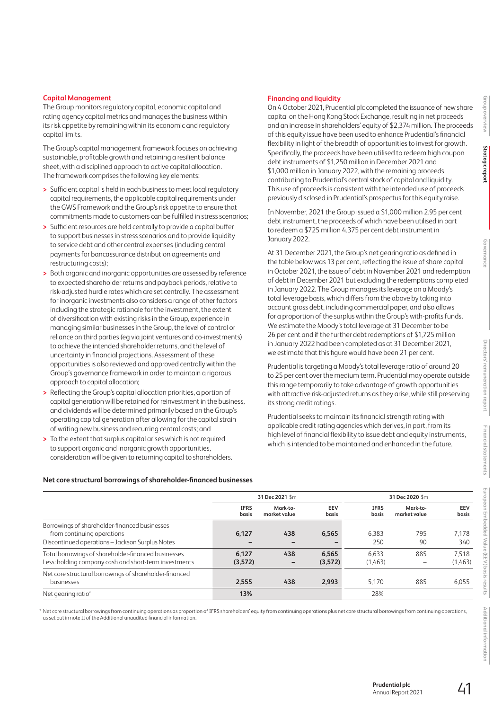# **Capital Management**

The Group monitors regulatory capital, economic capital and rating agency capital metrics and manages the business within its risk appetite by remaining within its economic and regulatory capital limits.

The Group's capital management framework focuses on achieving sustainable, profitable growth and retaining a resilient balance sheet, with a disciplined approach to active capital allocation. The framework comprises the following key elements:

- **>** Sufficient capital is held in each business to meet local regulatory capital requirements, the applicable capital requirements under the GWS Framework and the Group's risk appetite to ensure that commitments made to customers can be fulfilled in stress scenarios;
- **>** Sufficient resources are held centrally to provide a capital buffer to support businesses in stress scenarios and to provide liquidity to service debt and other central expenses (including central payments for bancassurance distribution agreements and restructuring costs);
- **>** Both organic and inorganic opportunities are assessed by reference to expected shareholder returns and payback periods, relative to risk-adjusted hurdle rates which are set centrally. The assessment for inorganic investments also considers a range of other factors including the strategic rationale for the investment, the extent of diversification with existing risks in the Group, experience in managing similar businesses in the Group, the level of control or reliance on third parties (eg via joint ventures and co-investments) to achieve the intended shareholder returns, and the level of uncertainty in financial projections. Assessment of these opportunities is also reviewed and approved centrally within the Group's governance framework in order to maintain a rigorous approach to capital allocation;
- **>** Reflecting the Group's capital allocation priorities, a portion of capital generation will be retained for reinvestment in the business, and dividends will be determined primarily based on the Group's operating capital generation after allowing for the capital strain of writing new business and recurring central costs; and
- **>** To the extent that surplus capital arises which is not required to support organic and inorganic growth opportunities, consideration will be given to returning capital to shareholders.

Borrowings of shareholder-financed businesses

Net core structural borrowings of shareholder-financed

## **Net core structural borrowings of shareholder-financed businesses**

## for a proportion of the surplus within the Group's with-profits funds. We estimate the Moody's total leverage at 31 December to be 26 per cent and if the further debt redemptions of \$1,725 million in January 2022 had been completed as at 31 December 2021, we estimate that this figure would have been 21 per cent.

Prudential is targeting a Moody's total leverage ratio of around 20 to 25 per cent over the medium term. Prudential may operate outside this range temporarily to take advantage of growth opportunities with attractive risk-adjusted returns as they arise, while still preserving its strong credit ratings.

On 4 October 2021, Prudential plc completed the issuance of new share capital on the Hong Kong Stock Exchange, resulting in net proceeds and an increase in shareholders' equity of \$2,374 million. The proceeds

debt instruments of \$1,250 million in December 2021 and \$1,000 million in January 2022, with the remaining proceeds contributing to Prudential's central stock of capital and liquidity. This use of proceeds is consistent with the intended use of proceeds previously disclosed in Prudential's prospectus for this equity raise. In November, 2021 the Group issued a \$1,000 million 2.95 per cent debt instrument, the proceeds of which have been utilised in part to redeem a \$725 million 4.375 per cent debt instrument in

At 31 December 2021, the Group's net gearing ratio as defined in the table below was 13 per cent, reflecting the issue of share capital in October 2021, the issue of debt in November 2021 and redemption of debt in December 2021 but excluding the redemptions completed in January 2022. The Group manages its leverage on a Moody's total leverage basis, which differs from the above by taking into account gross debt, including commercial paper, and also allows

**Financing and liquidity**

January 2022.

Prudential seeks to maintain its financial strength rating with applicable credit rating agencies which derives, in part, from its high level of financial flexibility to issue debt and equity instruments, which is intended to be maintained and enhanced in the future.

**IFRS basis**

**Mark-to-market value**

**31 Dec 2021** \$m **31 Dec 2020** \$m

**EEV basis** 

of this equity issue have been used to enhance Prudential's financial flexibility in light of the breadth of opportunities to invest for growth. Specifically, the proceeds have been utilised to redeem high coupon

**Group overview**

Group overview

**Strategic report**

Strategic repor

**EEV basis** 

**Additional information**

Additional informatior

\* Net core structural borrowings from continuing operations as proportion of IFRS shareholders' equity from continuing operations plus net core structural borrowings from continuing operations, asset out in note II of the Additional unaudited financial information.

businesses **2,555 438 2,993** 5,170 885 6,055

Net gearing ratio\* **13%** 28%

from continuing operations **6,127 438 6,565** 6,383 795 7,178 Discontinued operations – Jackson Surplus Notes **– – –** 250 90 340 Total borrowings of shareholder-financed businesses **6,127 438 6,565** 6,633 885 7,518 Less: holding company cash and short-term investments **(3,572) – (3,572)** (1,463) – (1,463)

**IFRS basis**

**Mark-to-market value**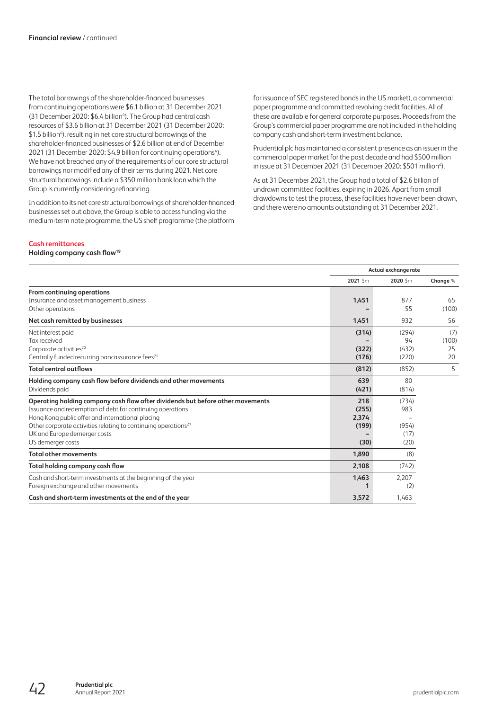The total borrowings of the shareholder-financed businesses from continuing operations were \$6.1 billion at 31 December 2021 (31 December 2020: \$6.4 billion<sup>4</sup>). The Group had central cash resources of \$3.6 billion at 31 December 2021 (31 December 2020: \$1.5 billion<sup>4</sup>), resulting in net core structural borrowings of the shareholder-financed businesses of \$2.6 billion at end of December 2021 (31 December 2020: \$4.9 billion for continuing operations<sup>4</sup>). We have not breached any of the requirements of our core structural borrowings nor modified any of their terms during 2021. Net core structural borrowings include a \$350 million bank loan which the Group is currently considering refinancing.

In addition to its net core structural borrowings of shareholder-financed businesses set out above, the Group is able to access funding via the medium-term note programme, the US shelf programme (the platform for issuance of SEC registered bonds in the US market), a commercial paper programme and committed revolving credit facilities. All of these are available for general corporate purposes. Proceeds from the Group's commercial paper programme are not included in the holding company cash and short-term investment balance.

Prudential plc has maintained a consistent presence as an issuer in the commercial paper market for the past decade and had \$500 million in issue at 31 December 2021 (31 December 2020: \$501 million<sup>4</sup>).

As at 31 December 2021, the Group had a total of \$2.6 billion of undrawn committed facilities, expiring in 2026. Apart from small drawdowns to test the process, these facilities have never been drawn, and there were no amounts outstanding at 31 December 2021.

# **Cash remittances**

# **Holding company cash flow19**

|                                                                                | Actual exchange rate |         |          |
|--------------------------------------------------------------------------------|----------------------|---------|----------|
|                                                                                | 2021 \$m             | 2020 Sm | Change % |
| <b>From continuing operations</b>                                              |                      |         |          |
| Insurance and asset management business                                        | 1,451                | 877     | 65       |
| Other operations                                                               |                      | 55      | (100)    |
| Net cash remitted by businesses                                                | 1,451                | 932     | 56       |
| Net interest paid                                                              | (314)                | (294)   | (7)      |
| Tax received                                                                   |                      | 94      | (100)    |
| Corporate activities <sup>20</sup>                                             | (322)                | (432)   | 25       |
| Centrally funded recurring bancassurance fees <sup>21</sup>                    | (176)                | (220)   | 20       |
| <b>Total central outflows</b>                                                  | (812)                | (852)   | 5        |
| Holding company cash flow before dividends and other movements                 | 639                  | 80      |          |
| Dividends paid                                                                 | (421)                | (814)   |          |
| Operating holding company cash flow after dividends but before other movements | 218                  | (734)   |          |
| Issuance and redemption of debt for continuing operations                      | (255)                | 983     |          |
| Hong Kong public offer and international placing                               | 2,374                |         |          |
| Other corporate activities relating to continuing operations <sup>21</sup>     | (199)                | (954)   |          |
| UK and Europe demerger costs                                                   |                      | (17)    |          |
| US demerger costs                                                              | (30)                 | (20)    |          |
| <b>Total other movements</b>                                                   | 1,890                | (8)     |          |
| Total holding company cash flow                                                | 2,108                | (742)   |          |
| Cash and short-term investments at the beginning of the year                   | 1,463                | 2.207   |          |
| Foreign exchange and other movements                                           |                      | (2)     |          |
| Cash and short-term investments at the end of the year                         | 3,572                | 1,463   |          |